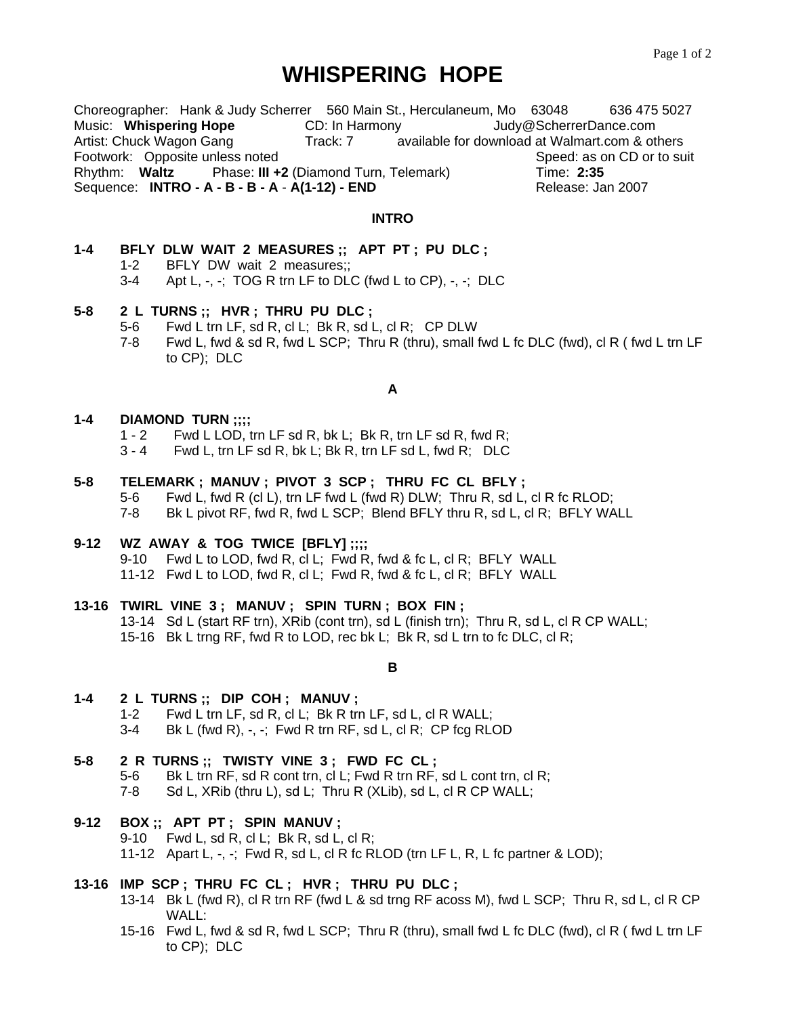# **WHISPERING HOPE**

Choreographer: Hank & Judy Scherrer 560 Main St., Herculaneum, Mo 63048 636 475 5027 Music: **Whispering Hope** CD: In Harmony Judy@ScherrerDance.com Artist: Chuck Wagon Gang Track: 7 available for download at Walmart.com & others Footwork: Opposite unless noted Speed: as on CD or to suit Rhythm: **Waltz** Phase: **III +2** (Diamond Turn, Telemark)Time: **2:35**  Sequence: **INTRO - A - B - B - A** - **A(1-12) - END** Release: Jan 2007

#### **INTRO**

| 1-4 |       | BFLY DLW WAIT 2 MEASURES :: APT PT : PU DLC :                         |
|-----|-------|-----------------------------------------------------------------------|
|     |       | 1-2 BFLY DW wait 2 measures;                                          |
|     | $3-4$ | Apt L, $-$ , $-$ ; TOG R trn LF to DLC (fwd L to CP), $-$ , $-$ ; DLC |

#### **5-8 2 L TURNS ;; HVR ; THRU PU DLC ;**

- 5-6 Fwd L trn LF, sd R, cl L; Bk R, sd L, cl R; CP DLW
- 7-8 Fwd L, fwd & sd R, fwd L SCP; Thru R (thru), small fwd L fc DLC (fwd), cl R ( fwd L trn LF to CP); DLC

#### **A**

#### **1-4 DIAMOND TURN ;;;;**

- 1 2 Fwd L LOD, trn LF sd R, bk L; Bk R, trn LF sd R, fwd R;
- 3 4 Fwd L, trn LF sd R, bk L; Bk R, trn LF sd L, fwd R; DLC

### **5-8 TELEMARK ; MANUV ; PIVOT 3 SCP ; THRU FC CL BFLY ;**

 5-6 Fwd L, fwd R (cl L), trn LF fwd L (fwd R) DLW; Thru R, sd L, cl R fc RLOD; 7-8 Bk L pivot RF, fwd R, fwd L SCP; Blend BFLY thru R, sd L, cl R; BFLY WALL

#### **9-12 WZ AWAY & TOG TWICE [BFLY] ;;;;**

9-10 Fwd L to LOD, fwd R, cl L; Fwd R, fwd & fc L, cl R; BFLY WALL

11-12 Fwd L to LOD, fwd R, cl L; Fwd R, fwd & fc L, cl R; BFLY WALL

#### **13-16 TWIRL VINE 3 ; MANUV ; SPIN TURN ; BOX FIN ;**

 13-14 Sd L (start RF trn), XRib (cont trn), sd L (finish trn); Thru R, sd L, cl R CP WALL; 15-16 Bk L trng RF, fwd R to LOD, rec bk L; Bk R, sd L trn to fc DLC, cl R;

**B**

#### **1-4 2 L TURNS ;; DIP COH ; MANUV ;**

- 1-2 Fwd L trn LF, sd R, cl L; Bk R trn LF, sd L, cl R WALL;
- $3-4$  Bk L (fwd R),  $-$ ,  $-$ ; Fwd R trn RF, sd L, cl R; CP fcg RLOD

#### **5-8 2 R TURNS ;; TWISTY VINE 3 ; FWD FC CL ;**

- 5-6 Bk L trn RF, sd R cont trn, cl L; Fwd R trn RF, sd L cont trn, cl R;<br>7-8 Sd L. XRib (thru L), sd L; Thru R (XLib), sd L, cl R CP WALL;
- Sd L, XRib (thru L), sd L; Thru R (XLib), sd L, cl R CP WALL;

## **9-12 BOX ;; APT PT ; SPIN MANUV ;**

9-10 Fwd L, sd R, cl L; Bk R, sd L, cl R;

11-12 Apart L, -, -; Fwd R, sd L, cl R fc RLOD (trn LF L, R, L fc partner & LOD);

#### **13-16 IMP SCP ; THRU FC CL ; HVR ; THRU PU DLC ;**

- 13-14 Bk L (fwd R), cl R trn RF (fwd L & sd trng RF acoss M), fwd L SCP; Thru R, sd L, cl R CP WALL:
- 15-16 Fwd L, fwd & sd R, fwd L SCP; Thru R (thru), small fwd L fc DLC (fwd), cl R ( fwd L trn LF to CP); DLC